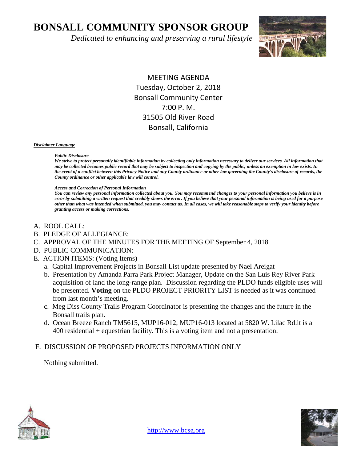# **BONSALL COMMUNITY SPONSOR GROUP**

 *Dedicated to enhancing and preserving a rural lifestyle*



MEETING AGENDA Tuesday, October 2, 2018 Bonsall Community Center 7:00 P. M. 31505 Old River Road Bonsall, California

*Disclaimer Language*

#### *Public Disclosure*

*We strive to protect personally identifiable information by collecting only information necessary to deliver our services. All information that may be collected becomes public record that may be subject to inspection and copying by the public, unless an exemption in law exists. In the event of a conflict between this Privacy Notice and any County ordinance or other law governing the County's disclosure of records, the County ordinance or other applicable law will control.*

### *Access and Correction of Personal Information*

*You can review any personal information collected about you. You may recommend changes to your personal information you believe is in error by submitting a written request that credibly shows the error. If you believe that your personal information is being used for a purpose other than what was intended when submitted, you may contact us. In all cases, we will take reasonable steps to verify your identity before granting access or making corrections.* 

- A. ROOL CALL:
- B. PLEDGE OF ALLEGIANCE:
- C. APPROVAL OF THE MINUTES FOR THE MEETING OF September 4, 2018
- D. PUBLIC COMMUNICATION:
- E. ACTION ITEMS: (Voting Items)
	- a. Capital Improvement Projects in Bonsall List update presented by Nael Areigat
	- b. Presentation by Amanda Parra Park Project Manager, Update on the San Luis Rey River Park acquisition of land the long-range plan. Discussion regarding the PLDO funds eligible uses will be presented. **Voting** on the PLDO PROJECT PRIORITY LIST is needed as it was continued from last month's meeting.
	- c. Meg Diss County Trails Program Coordinator is presenting the changes and the future in the Bonsall trails plan.
	- d. Ocean Breeze Ranch TM5615, MUP16-012, MUP16-013 located at 5820 W. Lilac Rd.it is a 400 residential + equestrian facility. This is a voting item and not a presentation.
- F. DISCUSSION OF PROPOSED PROJECTS INFORMATION ONLY

Nothing submitted.